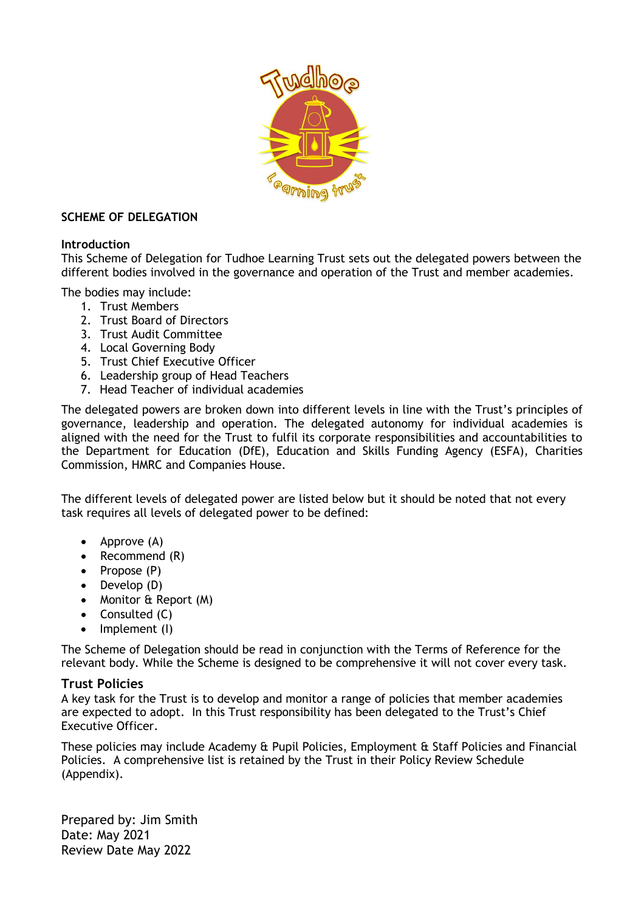

## **SCHEME OF DELEGATION**

## **Introduction**

This Scheme of Delegation for Tudhoe Learning Trust sets out the delegated powers between the different bodies involved in the governance and operation of the Trust and member academies.

The bodies may include:

- 1. Trust Members
- 2. Trust Board of Directors
- 3. Trust Audit Committee
- 4. Local Governing Body
- 5. Trust Chief Executive Officer
- 6. Leadership group of Head Teachers
- 7. Head Teacher of individual academies

The delegated powers are broken down into different levels in line with the Trust's principles of governance, leadership and operation. The delegated autonomy for individual academies is aligned with the need for the Trust to fulfil its corporate responsibilities and accountabilities to the Department for Education (DfE), Education and Skills Funding Agency (ESFA), Charities Commission, HMRC and Companies House.

The different levels of delegated power are listed below but it should be noted that not every task requires all levels of delegated power to be defined:

- Approve (A)
- Recommend (R)
- Propose (P)
- Develop (D)
- Monitor & Report (M)
- Consulted (C)
- Implement (I)

The Scheme of Delegation should be read in conjunction with the Terms of Reference for the relevant body. While the Scheme is designed to be comprehensive it will not cover every task.

## **Trust Policies**

A key task for the Trust is to develop and monitor a range of policies that member academies are expected to adopt. In this Trust responsibility has been delegated to the Trust's Chief Executive Officer.

These policies may include Academy & Pupil Policies, Employment & Staff Policies and Financial Policies. A comprehensive list is retained by the Trust in their Policy Review Schedule (Appendix).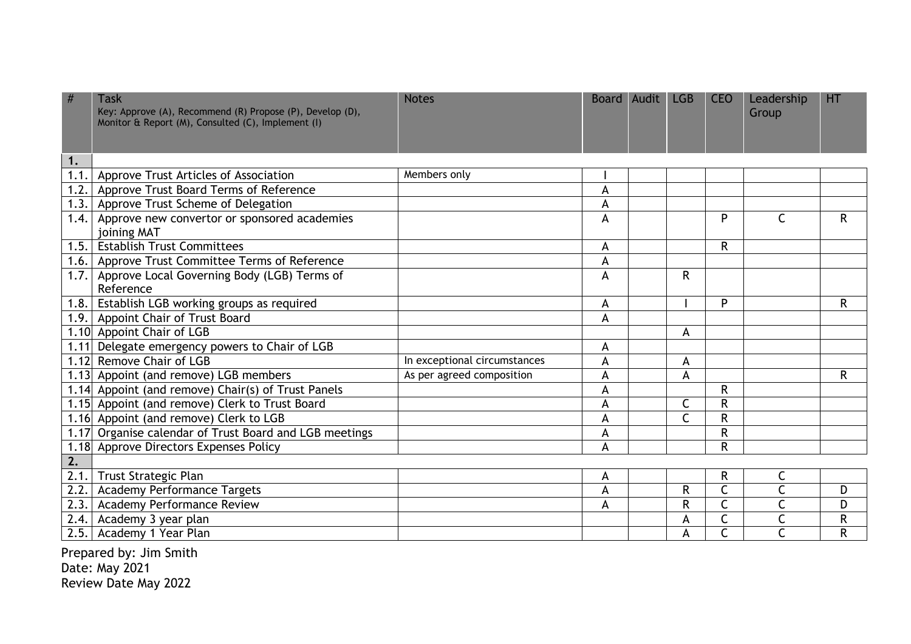|                                     |                                                        |                              |   |              |              | Group        |              |
|-------------------------------------|--------------------------------------------------------|------------------------------|---|--------------|--------------|--------------|--------------|
| 1.                                  |                                                        |                              |   |              |              |              |              |
|                                     | 1.1. Approve Trust Articles of Association             | Members only                 |   |              |              |              |              |
| 1.2.                                | Approve Trust Board Terms of Reference                 |                              | A |              |              |              |              |
|                                     | 1.3. Approve Trust Scheme of Delegation                |                              | A |              |              |              |              |
| 1.4.<br>joining MAT                 | Approve new convertor or sponsored academies           |                              | A |              | P            | $\mathsf{C}$ | $\mathsf{R}$ |
| 1.5.                                | <b>Establish Trust Committees</b>                      |                              | A |              | R            |              |              |
|                                     | 1.6. Approve Trust Committee Terms of Reference        |                              | A |              |              |              |              |
|                                     | 1.7. Approve Local Governing Body (LGB) Terms of       |                              | A | R            |              |              |              |
| Reference                           |                                                        |                              |   |              |              |              |              |
|                                     | 1.8. Establish LGB working groups as required          |                              | A |              | P            |              | R            |
|                                     | 1.9. Appoint Chair of Trust Board                      |                              | A |              |              |              |              |
| 1.10 Appoint Chair of LGB           |                                                        |                              |   | A            |              |              |              |
|                                     | 1.11 Delegate emergency powers to Chair of LGB         |                              | A |              |              |              |              |
| 1.12 Remove Chair of LGB            |                                                        | In exceptional circumstances | A | A            |              |              |              |
|                                     | 1.13 Appoint (and remove) LGB members                  | As per agreed composition    | A | A            |              |              | R            |
|                                     | 1.14 Appoint (and remove) Chair(s) of Trust Panels     |                              | A |              | $\mathsf{R}$ |              |              |
|                                     | 1.15 Appoint (and remove) Clerk to Trust Board         |                              | A | C            | R            |              |              |
|                                     | 1.16 Appoint (and remove) Clerk to LGB                 |                              | A | $\mathsf{C}$ | R            |              |              |
|                                     | 1.17 Organise calendar of Trust Board and LGB meetings |                              | A |              | R            |              |              |
|                                     | 1.18 Approve Directors Expenses Policy                 |                              | A |              | R            |              |              |
| 2.                                  |                                                        |                              |   |              |              |              |              |
| 2.1.<br><b>Trust Strategic Plan</b> |                                                        |                              | A |              | $\mathsf{R}$ | $\mathsf{C}$ |              |
|                                     | 2.2. Academy Performance Targets                       |                              | A | R            | $\mathsf{C}$ | $\mathsf{C}$ | D            |
| 2.3.                                | <b>Academy Performance Review</b>                      |                              | A | R            | $\mathsf{C}$ | $\mathsf{C}$ | D            |
| Academy 3 year plan<br>2.4.         |                                                        |                              |   | A            | C            | $\mathsf{C}$ | $\mathsf R$  |
| 2.5.<br>Academy 1 Year Plan         |                                                        |                              |   |              |              |              | R            |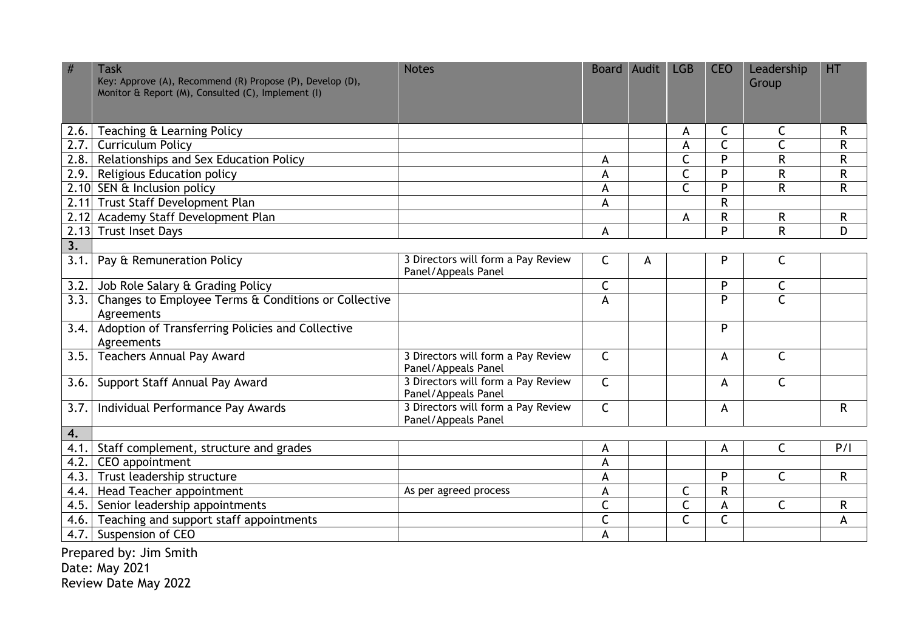|                           | <b>Task</b><br>Key: Approve (A), Recommend (R) Propose (P), Develop (D),<br>Monitor & Report (M), Consulted (C), Implement (I) | <b>Notes</b>                                              |                | Board Audit | <b>LGB</b>              | <b>CEO</b>   | Leadership<br>Group     | HT           |
|---------------------------|--------------------------------------------------------------------------------------------------------------------------------|-----------------------------------------------------------|----------------|-------------|-------------------------|--------------|-------------------------|--------------|
| 2.6.                      | Teaching & Learning Policy                                                                                                     |                                                           |                |             | A                       | C            | C                       | R            |
|                           | 2.7. Curriculum Policy                                                                                                         |                                                           |                |             | A                       | $\mathsf{C}$ | $\mathsf{C}$            | ${\sf R}$    |
|                           | 2.8. Relationships and Sex Education Policy                                                                                    |                                                           | A              |             | $\mathsf{C}$            | P            | $\mathsf{R}$            | $\mathsf R$  |
|                           | 2.9. Religious Education policy                                                                                                |                                                           | A              |             | $\overline{\mathsf{C}}$ | P            | $\overline{R}$          | $\mathsf R$  |
|                           | 2.10 SEN & Inclusion policy                                                                                                    |                                                           | A              |             | $\overline{\mathsf{C}}$ | P            | $\mathsf{R}$            | R            |
|                           | 2.11 Trust Staff Development Plan                                                                                              |                                                           | A              |             |                         | $\mathsf{R}$ |                         |              |
|                           | 2.12 Academy Staff Development Plan                                                                                            |                                                           |                |             | A                       | $\mathsf R$  | $\mathsf{R}$            | $\mathsf R$  |
|                           | 2.13 Trust Inset Days                                                                                                          |                                                           | A              |             |                         | P            | $\mathsf{R}$            | D            |
| $\overline{\mathbf{3}}$ . |                                                                                                                                |                                                           |                |             |                         |              |                         |              |
| 3.1.                      | Pay & Remuneration Policy                                                                                                      | 3 Directors will form a Pay Review<br>Panel/Appeals Panel | $\mathsf C$    | A           |                         | P            | $\mathsf C$             |              |
| 3.2.                      | Job Role Salary & Grading Policy                                                                                               |                                                           | C              |             |                         | P            | $\mathsf C$             |              |
|                           | 3.3. Changes to Employee Terms & Conditions or Collective<br>Agreements                                                        |                                                           | $\overline{A}$ |             |                         | P            | $\overline{\mathsf{C}}$ |              |
|                           | 3.4. Adoption of Transferring Policies and Collective<br>Agreements                                                            |                                                           |                |             |                         | P            |                         |              |
| 3.5.                      | <b>Teachers Annual Pay Award</b>                                                                                               | 3 Directors will form a Pay Review<br>Panel/Appeals Panel | $\mathsf{C}$   |             |                         | A            | $\mathsf{C}$            |              |
| 3.6.                      | Support Staff Annual Pay Award                                                                                                 | 3 Directors will form a Pay Review<br>Panel/Appeals Panel | $\overline{C}$ |             |                         | A            | $\mathsf{C}$            |              |
| 3.7.                      | Individual Performance Pay Awards                                                                                              | 3 Directors will form a Pay Review<br>Panel/Appeals Panel | $\mathsf{C}$   |             |                         | A            |                         | $\mathsf{R}$ |
| 4.                        |                                                                                                                                |                                                           |                |             |                         |              |                         |              |
|                           | 4.1. Staff complement, structure and grades                                                                                    |                                                           | A              |             |                         | A            | $\mathsf{C}$            | P/I          |
| 4.2.                      | CEO appointment                                                                                                                |                                                           | A              |             |                         |              |                         |              |
|                           | 4.3. Trust leadership structure                                                                                                |                                                           | A              |             |                         | P            | $\mathsf{C}$            | $\mathsf{R}$ |
|                           | 4.4.   Head Teacher appointment                                                                                                | As per agreed process                                     | A              |             | $\mathsf{C}$            | R            |                         |              |
|                           | 4.5. Senior leadership appointments                                                                                            |                                                           | $\mathsf{C}$   |             | $\mathsf{C}$            | A            | C                       | R            |
| 4.6.                      | Teaching and support staff appointments                                                                                        |                                                           | $\mathsf{C}$   |             | $\mathsf{C}$            | $\mathsf{C}$ |                         | A            |
|                           | 4.7. Suspension of CEO                                                                                                         |                                                           | $\overline{A}$ |             |                         |              |                         |              |
|                           | Prepared by: Jim Smith                                                                                                         |                                                           |                |             |                         |              |                         |              |

Date: May 2021 Review Date May 2022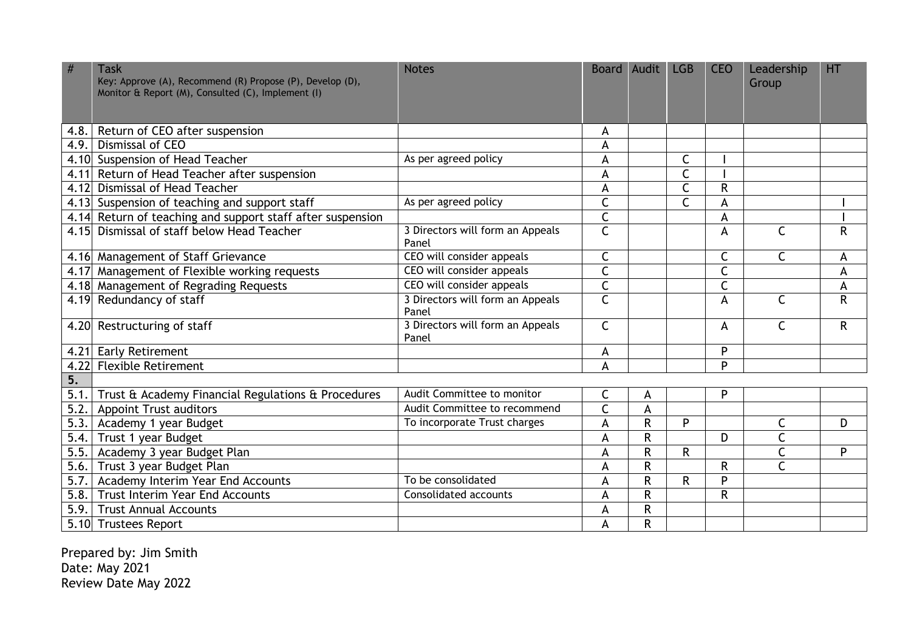| #    | <b>Task</b><br>Key: Approve (A), Recommend (R) Propose (P), Develop (D),<br>Monitor & Report (M), Consulted (C), Implement (I) | <b>Notes</b>                              |                         | Board Audit  | <b>LGB</b>   | <b>CEO</b> | Leadership<br>Group     | HT |
|------|--------------------------------------------------------------------------------------------------------------------------------|-------------------------------------------|-------------------------|--------------|--------------|------------|-------------------------|----|
|      |                                                                                                                                |                                           |                         |              |              |            |                         |    |
|      | 4.8. Return of CEO after suspension                                                                                            |                                           | A                       |              |              |            |                         |    |
| 4.9. | Dismissal of CEO                                                                                                               |                                           | A                       |              |              |            |                         |    |
|      | 4.10 Suspension of Head Teacher                                                                                                | As per agreed policy                      | A                       |              | C            |            |                         |    |
|      | 4.11 Return of Head Teacher after suspension                                                                                   |                                           | A                       |              | $\mathsf{C}$ |            |                         |    |
| 4.12 | Dismissal of Head Teacher                                                                                                      |                                           | A                       |              | $\mathsf{C}$ | R          |                         |    |
|      | 4.13 Suspension of teaching and support staff                                                                                  | As per agreed policy                      | $\overline{\mathsf{C}}$ |              | $\mathsf{C}$ | A          |                         |    |
|      | 4.14 Return of teaching and support staff after suspension                                                                     |                                           | $\mathsf{C}$            |              |              | A          |                         |    |
|      | 4.15 Dismissal of staff below Head Teacher                                                                                     | 3 Directors will form an Appeals<br>Panel | $\mathsf{C}$            |              |              | A          | $\mathsf{C}$            | R  |
|      | 4.16 Management of Staff Grievance                                                                                             | CEO will consider appeals                 | $\mathsf C$             |              |              | С          | $\mathsf C$             | A  |
|      | 4.17 Management of Flexible working requests                                                                                   | CEO will consider appeals                 | C                       |              |              | C          |                         | A  |
|      | 4.18 Management of Regrading Requests                                                                                          | CEO will consider appeals                 | $\mathsf{C}$            |              |              | C          |                         | A  |
|      | 4.19 Redundancy of staff                                                                                                       | 3 Directors will form an Appeals<br>Panel | $\mathsf{C}$            |              |              | A          | $\mathsf{C}$            | R  |
|      | 4.20 Restructuring of staff                                                                                                    | 3 Directors will form an Appeals<br>Panel | $\mathsf{C}$            |              |              | A          | $\mathsf C$             | R  |
|      | 4.21 Early Retirement                                                                                                          |                                           | A                       |              |              | P          |                         |    |
|      | 4.22 Flexible Retirement                                                                                                       |                                           | A                       |              |              | D          |                         |    |
| 5.   |                                                                                                                                |                                           |                         |              |              |            |                         |    |
| 5.1. | Trust & Academy Financial Regulations & Procedures                                                                             | Audit Committee to monitor                | $\mathsf{C}$            | A            |              | P          |                         |    |
| 5.2. | <b>Appoint Trust auditors</b>                                                                                                  | Audit Committee to recommend              | $\mathsf{C}$            | A            |              |            |                         |    |
|      | 5.3. Academy 1 year Budget                                                                                                     | To incorporate Trust charges              | A                       | $\mathsf{R}$ | P            |            | C                       | D  |
| 5.4. | Trust 1 year Budget                                                                                                            |                                           | A                       | $\mathsf{R}$ |              | D          | C                       |    |
| 5.5. | Academy 3 year Budget Plan                                                                                                     |                                           | A                       | R            | R            |            | $\mathsf C$             | P  |
| 5.6. | Trust 3 year Budget Plan                                                                                                       |                                           | A                       | $\mathsf{R}$ |              | R          | $\overline{\mathsf{C}}$ |    |
| 5.7. | Academy Interim Year End Accounts                                                                                              | To be consolidated                        | A                       | $\mathsf R$  | $\mathsf{R}$ | Þ          |                         |    |
| 5.8. | <b>Trust Interim Year End Accounts</b>                                                                                         | <b>Consolidated accounts</b>              | A                       | $\mathsf{R}$ |              | R          |                         |    |
| 5.9. | <b>Trust Annual Accounts</b>                                                                                                   |                                           | A                       | ${\sf R}$    |              |            |                         |    |
|      | 5.10 Trustees Report                                                                                                           |                                           | A                       | R            |              |            |                         |    |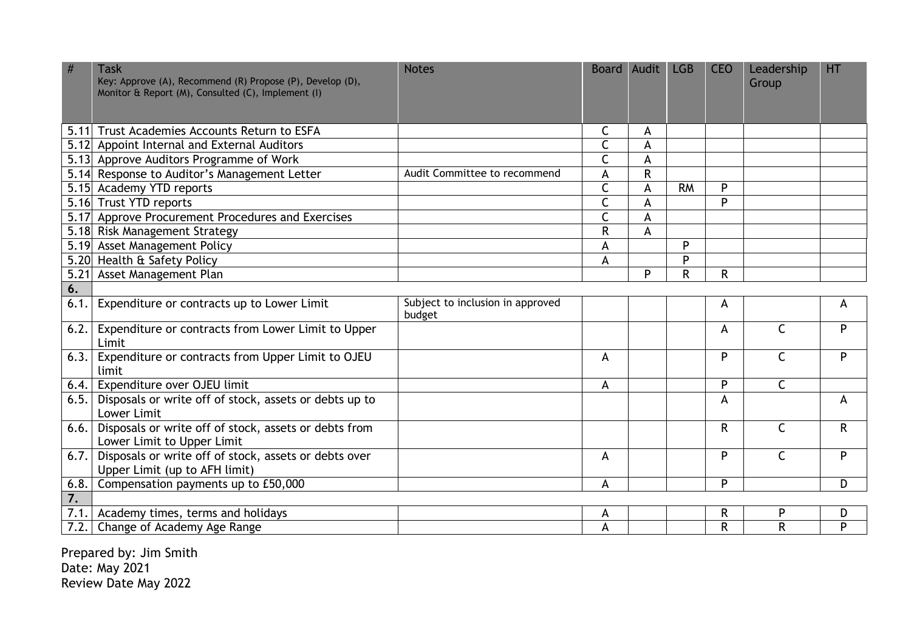|                  | <b>Task</b><br>Key: Approve (A), Recommend (R) Propose (P), Develop (D),<br>Monitor & Report (M), Consulted (C), Implement (I) | <b>Notes</b>                               |              | Board Audit  | <b>LGB</b> | <b>CEO</b> | Leadership<br>Group | <b>HT</b>    |
|------------------|--------------------------------------------------------------------------------------------------------------------------------|--------------------------------------------|--------------|--------------|------------|------------|---------------------|--------------|
|                  | 5.11 Trust Academies Accounts Return to ESFA                                                                                   |                                            | C            | A            |            |            |                     |              |
|                  | 5.12 Appoint Internal and External Auditors                                                                                    |                                            | $\mathsf{C}$ | A            |            |            |                     |              |
|                  | 5.13 Approve Auditors Programme of Work                                                                                        |                                            | C            | A            |            |            |                     |              |
|                  | 5.14 Response to Auditor's Management Letter                                                                                   | Audit Committee to recommend               | A            | $\mathsf{R}$ |            |            |                     |              |
|                  | 5.15 Academy YTD reports                                                                                                       |                                            | C            | A            | <b>RM</b>  | P          |                     |              |
|                  | 5.16 Trust YTD reports                                                                                                         |                                            | $\mathsf{C}$ | A            |            | P          |                     |              |
|                  | 5.17 Approve Procurement Procedures and Exercises                                                                              |                                            | C            | A            |            |            |                     |              |
|                  | 5.18 Risk Management Strategy                                                                                                  |                                            | R            | A            |            |            |                     |              |
|                  | 5.19 Asset Management Policy                                                                                                   |                                            | A            |              | P          |            |                     |              |
|                  | 5.20 Health & Safety Policy                                                                                                    |                                            | A            |              | P          |            |                     |              |
|                  | 5.21 Asset Management Plan                                                                                                     |                                            |              | P            | R          | R          |                     |              |
| 6.               |                                                                                                                                |                                            |              |              |            |            |                     |              |
| 6.1.             | Expenditure or contracts up to Lower Limit                                                                                     | Subject to inclusion in approved<br>budget |              |              |            | A          |                     | А            |
| 6.2.             | Expenditure or contracts from Lower Limit to Upper<br>Limit                                                                    |                                            |              |              |            | A          | $\mathsf{C}$        | P            |
|                  | 6.3. Expenditure or contracts from Upper Limit to OJEU<br>limit                                                                |                                            | A            |              |            | P          | $\mathsf{C}$        | P            |
|                  | 6.4. Expenditure over OJEU limit                                                                                               |                                            | A            |              |            | P          | C                   |              |
| 6.5.             | Disposals or write off of stock, assets or debts up to<br><b>Lower Limit</b>                                                   |                                            |              |              |            | A          |                     | A            |
| 6.6.             | Disposals or write off of stock, assets or debts from<br>Lower Limit to Upper Limit                                            |                                            |              |              |            | R          | $\mathsf{C}$        | $\mathsf{R}$ |
| 6.7.             | Disposals or write off of stock, assets or debts over<br>Upper Limit (up to AFH limit)                                         |                                            | A            |              |            | P          | C                   | P            |
| 6.8.             | Compensation payments up to £50,000                                                                                            |                                            | A            |              |            | P          |                     | D            |
| $\overline{7}$ . |                                                                                                                                |                                            |              |              |            |            |                     |              |
| 7.1.             | Academy times, terms and holidays                                                                                              |                                            | A            |              |            | R          | P                   | D            |
| 7.2.             | Change of Academy Age Range                                                                                                    |                                            | A            |              |            | R          | $\mathsf{R}$        | P            |
|                  |                                                                                                                                |                                            |              |              |            |            |                     |              |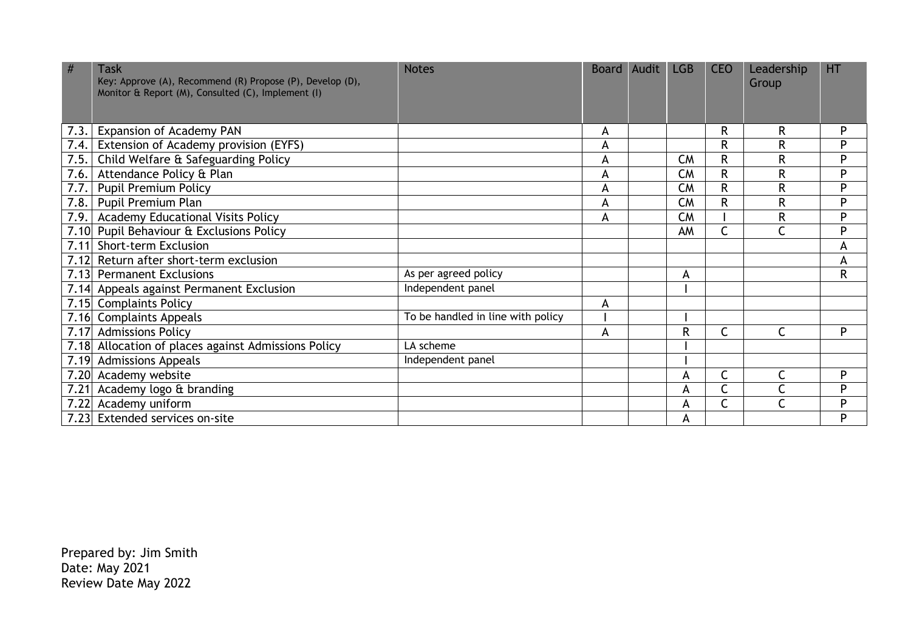| #<br><b>Task</b><br>Key: Approve (A), Recommend (R) Propose (P), Develop (D),<br>Monitor & Report (M), Consulted (C), Implement (I) | <b>Notes</b>                      |   | Board Audit | LGB          | <b>CEO</b> | Leadership<br>Group | <b>HT</b> |
|-------------------------------------------------------------------------------------------------------------------------------------|-----------------------------------|---|-------------|--------------|------------|---------------------|-----------|
| <b>Expansion of Academy PAN</b><br>7.3.                                                                                             |                                   | A |             |              | R          | R                   | P         |
| Extension of Academy provision (EYFS)<br>7.4.                                                                                       |                                   | A |             |              | R          | R                   | P         |
| Child Welfare & Safeguarding Policy<br>7.5.                                                                                         |                                   | A |             | <b>CM</b>    | R          | R                   | P         |
| Attendance Policy & Plan<br>7.6.                                                                                                    |                                   | A |             | <b>CM</b>    | R          | R                   | P         |
| <b>Pupil Premium Policy</b><br>7.7.                                                                                                 |                                   | A |             | <b>CM</b>    | R          | R                   | P         |
| 7.8.<br>Pupil Premium Plan                                                                                                          |                                   | A |             | <b>CM</b>    | R          | R                   | P         |
| 7.9.<br><b>Academy Educational Visits Policy</b>                                                                                    |                                   | A |             | <b>CM</b>    |            | R                   | P         |
| 7.10 Pupil Behaviour & Exclusions Policy                                                                                            |                                   |   |             | AM           |            | Ċ                   | Þ         |
| <b>Short-term Exclusion</b><br>7.11                                                                                                 |                                   |   |             |              |            |                     | A         |
| 7.12<br>Return after short-term exclusion                                                                                           |                                   |   |             |              |            |                     | A         |
| 7.13<br><b>Permanent Exclusions</b>                                                                                                 | As per agreed policy              |   |             | A            |            |                     | ${\sf R}$ |
| 7.14 Appeals against Permanent Exclusion                                                                                            | Independent panel                 |   |             |              |            |                     |           |
| 7.15<br><b>Complaints Policy</b>                                                                                                    |                                   | A |             |              |            |                     |           |
| 7.16<br><b>Complaints Appeals</b>                                                                                                   | To be handled in line with policy |   |             |              |            |                     |           |
| <b>Admissions Policy</b><br>7.17                                                                                                    |                                   | A |             | $\mathsf{R}$ |            | C                   | P         |
| 7.18 Allocation of places against Admissions Policy                                                                                 | LA scheme                         |   |             |              |            |                     |           |
| 7.19 Admissions Appeals                                                                                                             | Independent panel                 |   |             |              |            |                     |           |
| 7.20 Academy website                                                                                                                |                                   |   |             | A            |            | $\mathsf{C}$        | P         |
| Academy logo & branding<br>7.21                                                                                                     |                                   |   |             | А            |            | C                   | P         |
| 7.22 Academy uniform                                                                                                                |                                   |   |             | A            | r          | Ċ                   | P         |
| 7.23 Extended services on-site                                                                                                      |                                   |   |             | A            |            |                     | P         |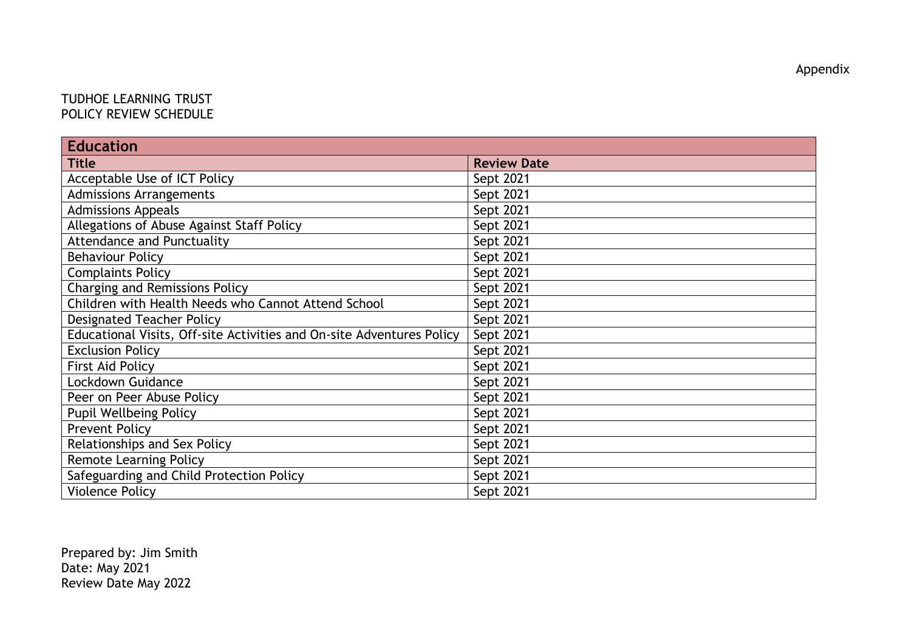## TUDHOE LEARNING TRUST POLICY REVIEW SCHEDULE

| <b>Education</b>                                                      |                    |  |  |  |
|-----------------------------------------------------------------------|--------------------|--|--|--|
| <b>Title</b>                                                          | <b>Review Date</b> |  |  |  |
| Acceptable Use of ICT Policy                                          | Sept 2021          |  |  |  |
| <b>Admissions Arrangements</b>                                        | Sept 2021          |  |  |  |
| <b>Admissions Appeals</b>                                             | Sept 2021          |  |  |  |
| Allegations of Abuse Against Staff Policy                             | Sept 2021          |  |  |  |
| <b>Attendance and Punctuality</b>                                     | Sept 2021          |  |  |  |
| <b>Behaviour Policy</b>                                               | Sept 2021          |  |  |  |
| <b>Complaints Policy</b>                                              | Sept 2021          |  |  |  |
| <b>Charging and Remissions Policy</b>                                 | Sept 2021          |  |  |  |
| Children with Health Needs who Cannot Attend School                   | Sept 2021          |  |  |  |
| <b>Designated Teacher Policy</b>                                      | Sept 2021          |  |  |  |
| Educational Visits, Off-site Activities and On-site Adventures Policy | Sept 2021          |  |  |  |
| <b>Exclusion Policy</b>                                               | Sept 2021          |  |  |  |
| <b>First Aid Policy</b>                                               | Sept 2021          |  |  |  |
| Lockdown Guidance                                                     | Sept 2021          |  |  |  |
| Peer on Peer Abuse Policy                                             | Sept 2021          |  |  |  |
| <b>Pupil Wellbeing Policy</b>                                         | Sept 2021          |  |  |  |
| <b>Prevent Policy</b>                                                 | Sept 2021          |  |  |  |
| Relationships and Sex Policy                                          | Sept 2021          |  |  |  |
| <b>Remote Learning Policy</b>                                         | Sept 2021          |  |  |  |
| Safeguarding and Child Protection Policy                              | Sept 2021          |  |  |  |
| <b>Violence Policy</b>                                                | Sept 2021          |  |  |  |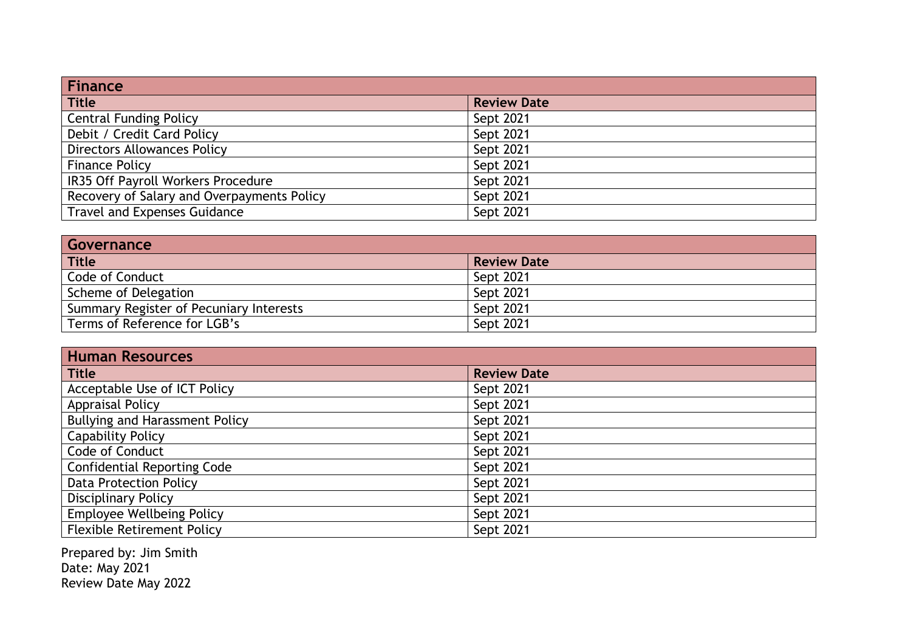| Finance                                    |                    |  |  |  |
|--------------------------------------------|--------------------|--|--|--|
| Title                                      | <b>Review Date</b> |  |  |  |
| <b>Central Funding Policy</b>              | Sept 2021          |  |  |  |
| Debit / Credit Card Policy                 | Sept 2021          |  |  |  |
| <b>Directors Allowances Policy</b>         | Sept 2021          |  |  |  |
| <b>Finance Policy</b>                      | Sept 2021          |  |  |  |
| IR35 Off Payroll Workers Procedure         | Sept 2021          |  |  |  |
| Recovery of Salary and Overpayments Policy | Sept 2021          |  |  |  |
| <b>Travel and Expenses Guidance</b>        | Sept 2021          |  |  |  |

| Governance                              |                    |  |  |  |
|-----------------------------------------|--------------------|--|--|--|
| <b>Title</b>                            | <b>Review Date</b> |  |  |  |
| Code of Conduct                         | Sept 2021          |  |  |  |
| Scheme of Delegation                    | Sept 2021          |  |  |  |
| Summary Register of Pecuniary Interests | Sept 2021          |  |  |  |
| Terms of Reference for LGB's            | Sept 2021          |  |  |  |

| <b>Human Resources</b>                |                    |  |  |  |
|---------------------------------------|--------------------|--|--|--|
| <b>Title</b>                          | <b>Review Date</b> |  |  |  |
| Acceptable Use of ICT Policy          | Sept 2021          |  |  |  |
| <b>Appraisal Policy</b>               | Sept 2021          |  |  |  |
| <b>Bullying and Harassment Policy</b> | Sept 2021          |  |  |  |
| <b>Capability Policy</b>              | Sept 2021          |  |  |  |
| Code of Conduct                       | Sept 2021          |  |  |  |
| <b>Confidential Reporting Code</b>    | Sept 2021          |  |  |  |
| <b>Data Protection Policy</b>         | Sept 2021          |  |  |  |
| <b>Disciplinary Policy</b>            | Sept 2021          |  |  |  |
| <b>Employee Wellbeing Policy</b>      | Sept 2021          |  |  |  |
| <b>Flexible Retirement Policy</b>     | Sept 2021          |  |  |  |